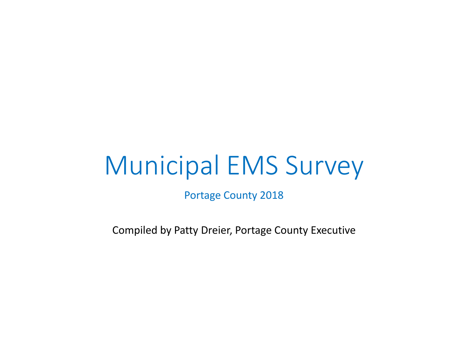# Municipal EMS Survey

Portage County 2018

Compiled by Patty Dreier, Portage County Executive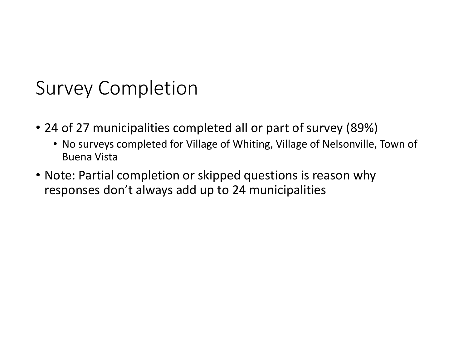### Survey Completion

- 24 of 27 municipalities completed all or part of survey (89%)
	- No surveys completed for Village of Whiting, Village of Nelsonville, Town of Buena Vista
- Note: Partial completion or skipped questions is reason why responses don't always add up to 24 municipalities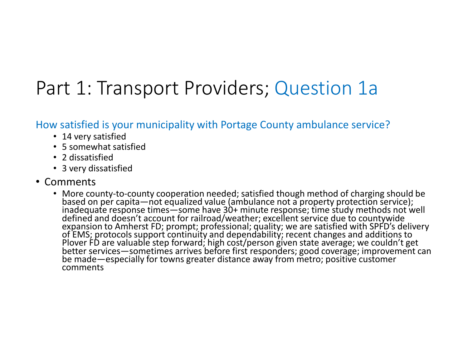### Part 1: Transport Providers; Question 1a

How satisfied is your municipality with Portage County ambulance service?

- 14 very satisfied
- 5 somewhat satisfied
- 2 dissatisfied
- 3 very dissatisfied
- Comments
	- $M$ ora c $\epsilon$ based on per capita—not equalized value (ambulance not a property protection service);<br>inadequate response times—some have 30+ minute response; time study methods not well<br>defined and doesn't account for railroad/weather; comments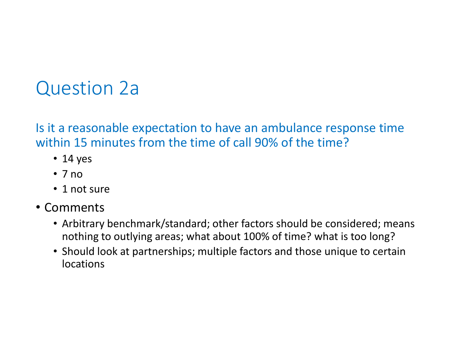### Question 2a

Is it a reasonable expectation to have an ambulance response time within 15 minutes from the time of call 90% of the time?

- 14 yes
- 7 no
- 1 not sure
- Comments
	- Arbitrary benchmark/standard; other factors should be considered; means nothing to outlying areas; what about 100% of time? what is too long?
	- Should look at partnerships; multiple factors and those unique to certain locations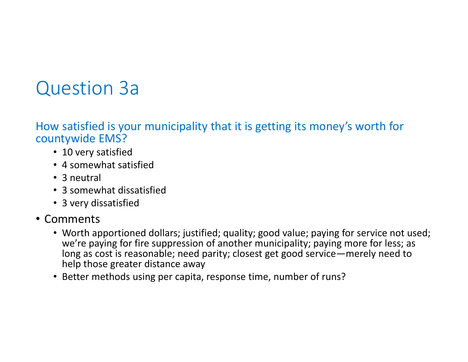### Question 3a

How satisfied is your municipality that it is getting its money's worth for countywide EMS?

- 10 very satisfied
- 4 somewhat satisfied
- 3 neutral
- 3 somewhat dissatisfied
- 3 very dissatisfied
- Comments
	- Worth apportioned dollars; justified; quality; good value; paying for service not used; we're paying for fire suppression of another municipality; paying more for less; as long as cost is reasonable; need parity; closest get good service—merely need to help those greater distance away
	- Better methods using per capita, response time, number of runs?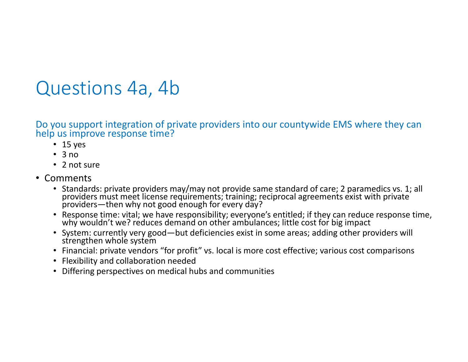### Questions 4a, 4b

Do you support integration of private providers into our countywide EMS where they can help us improve response time?

- 15 yes
- 3 no
- 2 not sure
- Comments
	- e Ctanda providers must meet license requirements; training; reciprocal agreements exist with private<br>providers—then why not good enough for every day?
	- Response time: vital; we have responsibility; everyone's entitled; if they can reduce response time, why wouldn't we? reduces demand on other ambulances; little cost for big impact
	- System: currently very good—but deficiencies exist in some areas; adding other providers will<br>strengthen whole system
	- Financial: private vendors "for profit" vs. local is more cost effective; various cost comparisons
	- Flexibility and collaboration needed
	- Differing perspectives on medical hubs and communities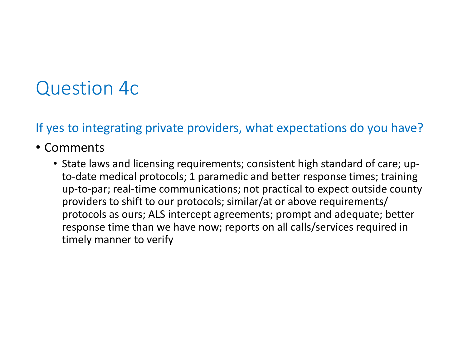### Question 4c

If yes to integrating private providers, what expectations do you have?

#### • Comments

• State laws and licensing requirements; consistent high standard of care; upto-date medical protocols; 1 paramedic and better response times; training up-to-par; real-time communications; not practical to expect outside county providers to shift to our protocols; similar/at or above requirements/ protocols as ours; ALS intercept agreements; prompt and adequate; better response time than we have now; reports on all calls/services required in timely manner to verify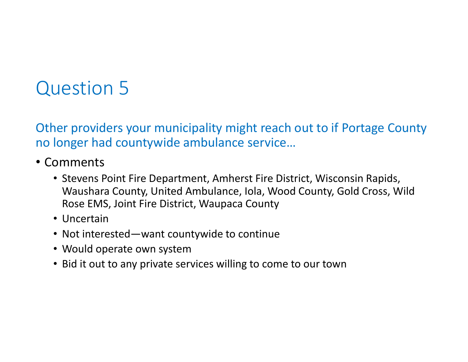Other providers your municipality might reach out to if Portage County no longer had countywide ambulance service…

- Comments
	- Stevens Point Fire Department, Amherst Fire District, Wisconsin Rapids, Waushara County, United Ambulance, Iola, Wood County, Gold Cross, Wild Rose EMS, Joint Fire District, Waupaca County
	- Uncertain
	- Not interested—want countywide to continue
	- Would operate own system
	- Bid it out to any private services willing to come to our town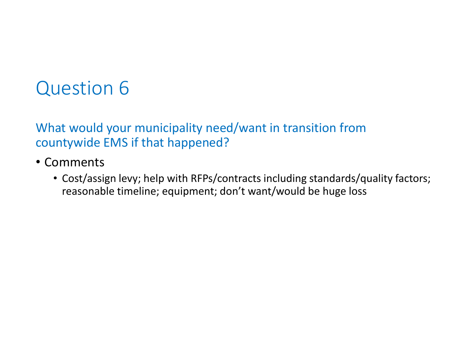What would your municipality need/want in transition from countywide EMS if that happened?

- Comments
	- Cost/assign levy; help with RFPs/contracts including standards/quality factors; reasonable timeline; equipment; don't want/would be huge loss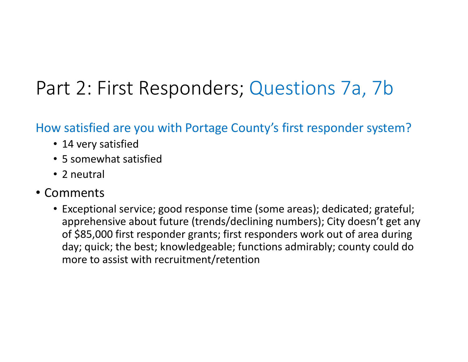### Part 2: First Responders; Questions 7a, 7b

#### How satisfied are you with Portage County's first responder system?

- 14 very satisfied
- 5 somewhat satisfied
- 2 neutral
- Comments
	- Exceptional service; good response time (some areas); dedicated; grateful; apprehensive about future (trends/declining numbers); City doesn't get any of \$85,000 first responder grants; first responders work out of area during day; quick; the best; knowledgeable; functions admirably; county could do more to assist with recruitment/retention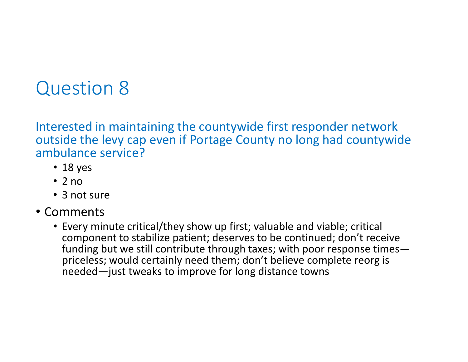Interested in maintaining the countywide first responder network outside the levy cap even if Portage County no long had countywide ambulance service?

- 18 yes
- 2 no
- 3 not sure
- Comments
	- Every minute critical/they show up first; valuable and viable; critical component to stabilize patient; deserves to be continued; don't receive funding but we still contribute through taxes; with poor response timespriceless; would certainly need them; don't believe complete reorg is needed—just tweaks to improve for long distance towns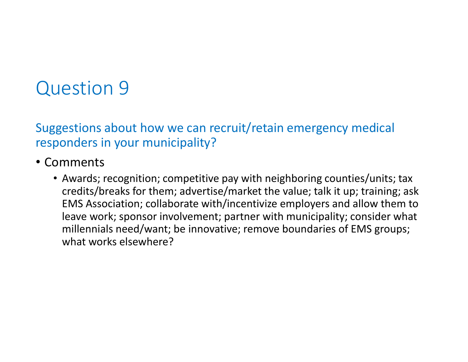Suggestions about how we can recruit/retain emergency medical responders in your municipality?

- Comments
	- Awards; recognition; competitive pay with neighboring counties/units; tax credits/breaks for them; advertise/market the value; talk it up; training; ask EMS Association; collaborate with/incentivize employers and allow them to leave work; sponsor involvement; partner with municipality; consider what millennials need/want; be innovative; remove boundaries of EMS groups; what works elsewhere?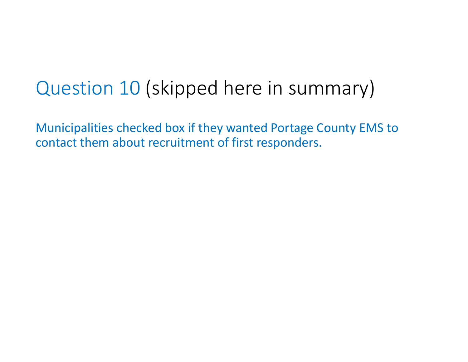# Question 10 (skipped here in summary)

Municipalities checked box if they wanted Portage County EMS to contact them about recruitment of first responders.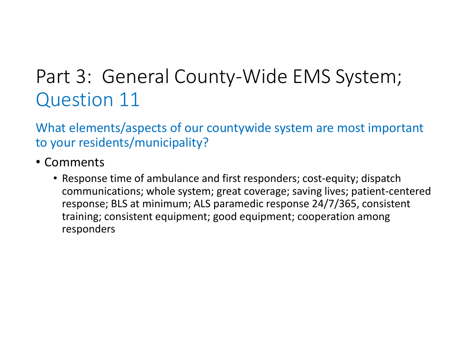## Part 3: General County-Wide EMS System; Question 11

What elements/aspects of our countywide system are most important to your residents/municipality?

- Comments
	- Response time of ambulance and first responders; cost-equity; dispatch communications; whole system; great coverage; saving lives; patient-centered response; BLS at minimum; ALS paramedic response 24/7/365, consistent training; consistent equipment; good equipment; cooperation among responders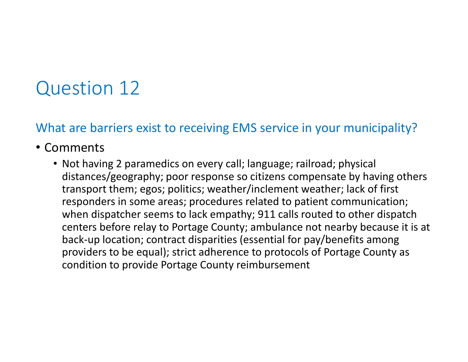#### What are barriers exist to receiving EMS service in your municipality?

#### • Comments

• Not having 2 paramedics on every call; language; railroad; physical distances/geography; poor response so citizens compensate by having others transport them; egos; politics; weather/inclement weather; lack of first responders in some areas; procedures related to patient communication; when dispatcher seems to lack empathy; 911 calls routed to other dispatch centers before relay to Portage County; ambulance not nearby because it is at back-up location; contract disparities (essential for pay/benefits among providers to be equal); strict adherence to protocols of Portage County as condition to provide Portage County reimbursement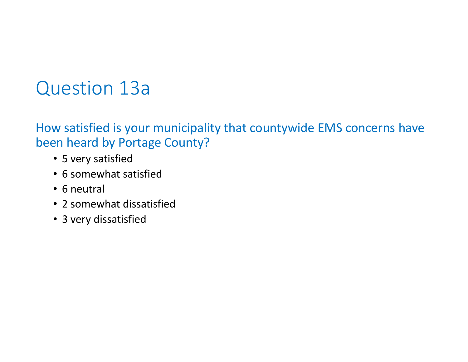### Question 13a

How satisfied is your municipality that countywide EMS concerns have been heard by Portage County?

- 5 very satisfied
- 6 somewhat satisfied
- 6 neutral
- 2 somewhat dissatisfied
- 3 very dissatisfied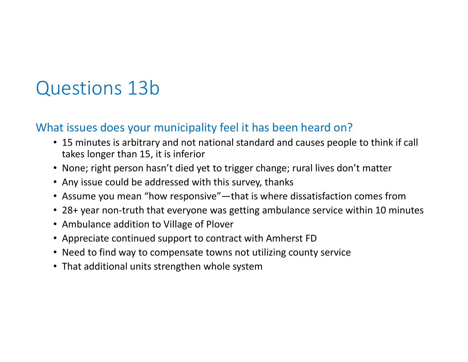### Questions 13b

#### What issues does your municipality feel it has been heard on?

- 15 minutes is arbitrary and not national standard and causes people to think if call takes longer than 15, it is inferior
- None; right person hasn't died yet to trigger change; rural lives don't matter
- Any issue could be addressed with this survey, thanks
- Assume you mean "how responsive"—that is where dissatisfaction comes from
- 28+ year non-truth that everyone was getting ambulance service within 10 minutes
- Ambulance addition to Village of Plover
- Appreciate continued support to contract with Amherst FD
- Need to find way to compensate towns not utilizing county service
- That additional units strengthen whole system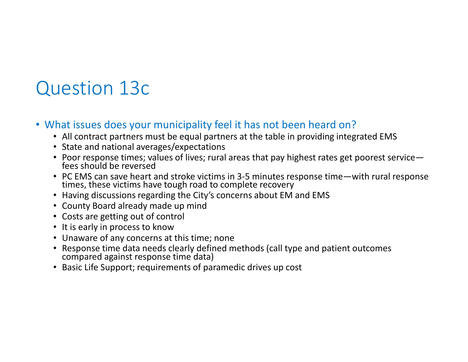### Question 13c

#### • What issues does your municipality feel it has not been heard on?

- All contract partners must be equal partners at the table in providing integrated EMS
- State and national averages/expectations
- Poor response times; values of lives; rural areas that pay highest rates get poorest service fees should be reversed
- PC EMS can save heart and stroke victims in 3-5 minutes response time—with rural response<br>times, these victims have tough road to complete recovery
- Having discussions regarding the City's concerns about EM and EMS
- County Board already made up mind
- Costs are getting out of control
- It is early in process to know
- Unaware of any concerns at this time; none
- Response time data needs clearly defined methods (call type and patient outcomes compared against response time data)
- Basic Life Support; requirements of paramedic drives up cost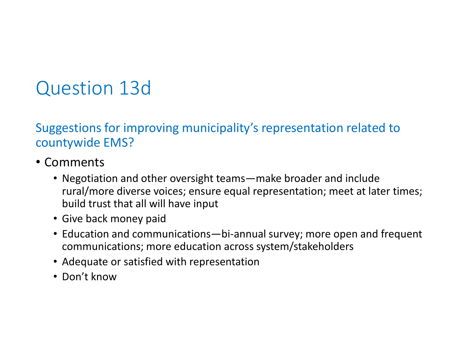### Question 13d

Suggestions for improving municipality's representation related to countywide EMS?

- Comments
	- Negotiation and other oversight teams—make broader and include rural/more diverse voices; ensure equal representation; meet at later times; build trust that all will have input
	- Give back money paid
	- Education and communications—bi-annual survey; more open and frequent communications; more education across system/stakeholders
	- Adequate or satisfied with representation
	- Don't know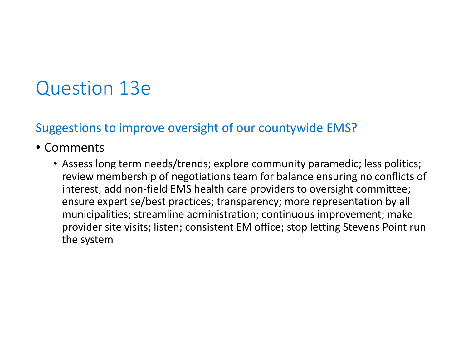### Question 13e

#### Suggestions to improve oversight of our countywide EMS?

### • Comments

• Assess long term needs/trends; explore community paramedic; less politics; review membership of negotiations team for balance ensuring no conflicts of interest; add non-field EMS health care providers to oversight committee; ensure expertise/best practices; transparency; more representation by all municipalities; streamline administration; continuous improvement; make provider site visits; listen; consistent EM office; stop letting Stevens Point run the system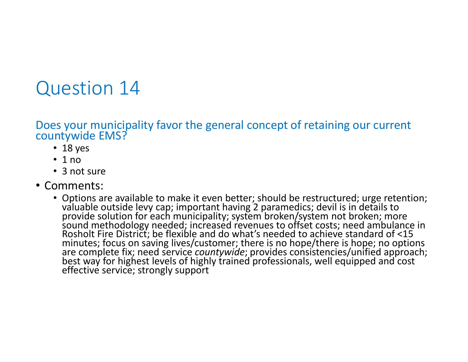Does your municipality favor the general concept of retaining our current countywide EMS?

- 18 yes
- 1 no
- 3 not sure
- Comments:
	- Options are available to make it even better; should be restructured; urge retention; valuable outside levy cap; important having 2 paramedics; devil is in details to<br>provide solution for each municipality; system broken/system not broken; more<br>sound methodology needed; increased revenues to offset costs; n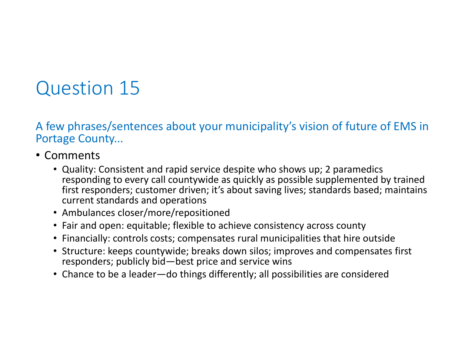A few phrases/sentences about your municipality's vision of future of EMS in Portage County...

- Comments
	- Quality: Consistent and rapid service despite who shows up; 2 paramedics responding to every call countywide as quickly as possible supplemented by trained first responders; customer driven; it's about saving lives; standards based; maintains current standards and operations
	- Ambulances closer/more/repositioned
	- Fair and open: equitable; flexible to achieve consistency across county
	- Financially: controls costs; compensates rural municipalities that hire outside
	- Structure: keeps countywide; breaks down silos; improves and compensates first responders; publicly bid—best price and service wins
	- Chance to be a leader—do things differently; all possibilities are considered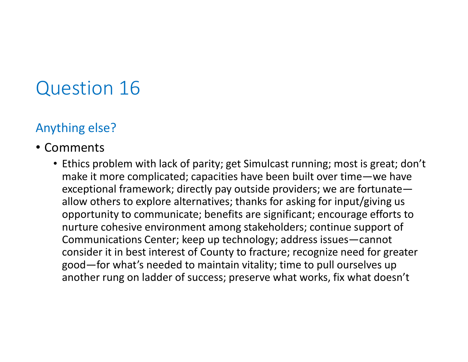#### Anything else?

### • Comments

• Ethics problem with lack of parity; get Simulcast running; most is great; don't make it more complicated; capacities have been built over time—we have exceptional framework; directly pay outside providers; we are fortunate allow others to explore alternatives; thanks for asking for input/giving us opportunity to communicate; benefits are significant; encourage efforts to nurture cohesive environment among stakeholders; continue support of Communications Center; keep up technology; address issues—cannot consider it in best interest of County to fracture; recognize need for greater good—for what's needed to maintain vitality; time to pull ourselves up another rung on ladder of success; preserve what works, fix what doesn't